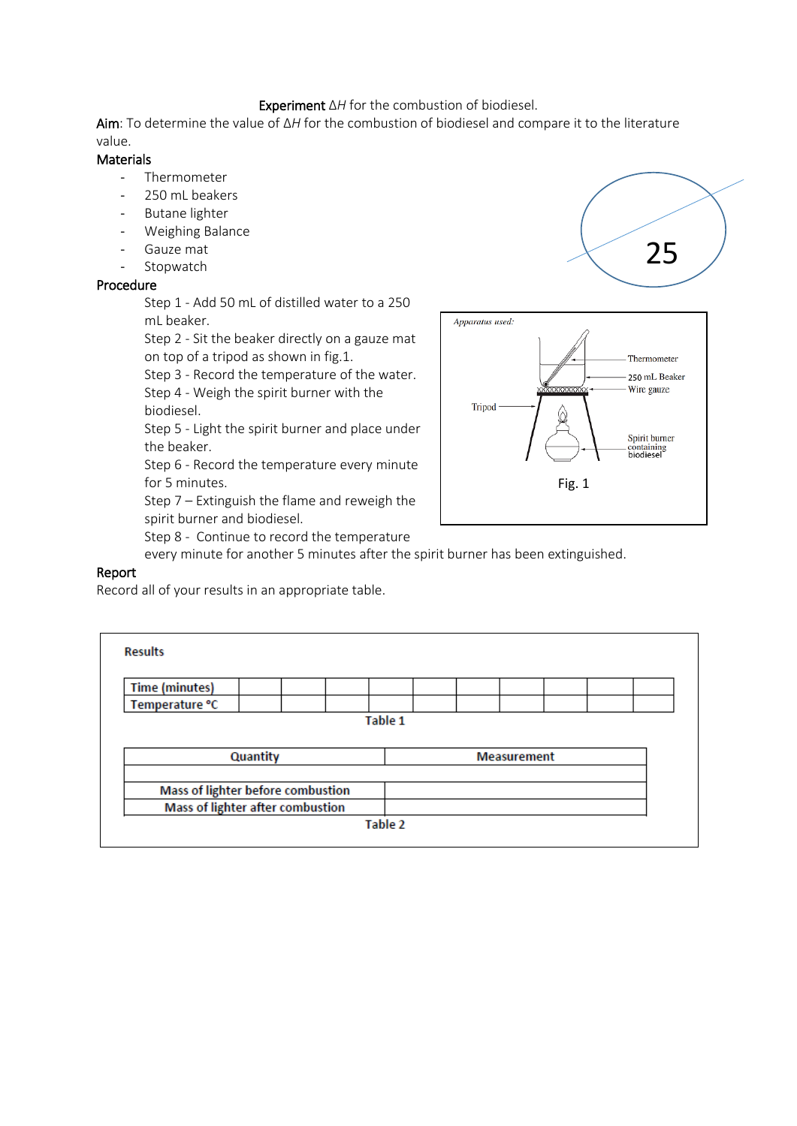### Experiment Δ*H* for the combustion of biodiesel.

Aim: To determine the value of Δ*H* for the combustion of biodiesel and compare it to the literature value.

#### **Materials**

- Thermometer
- 250 mL beakers
- Butane lighter
- Weighing Balance
- Gauze mat
- Stopwatch

#### Procedure

Step 1 - Add 50 mL of distilled water to a 250 mL beaker.

Step 2 - Sit the beaker directly on a gauze mat on top of a tripod as shown in fig.1.

Step 3 - Record the temperature of the water. Step 4 - Weigh the spirit burner with the

biodiesel.

Step 5 - Light the spirit burner and place under the beaker.

Step 6 - Record the temperature every minute for 5 minutes.

Step 7 – Extinguish the flame and reweigh the spirit burner and biodiesel.

Step 8 - Continue to record the temperature

every minute for another 5 minutes after the spirit burner has been extinguished.

## Report

Record all of your results in an appropriate table.

| <b>Results</b>                          |  |                |                    |  |  |  |  |  |
|-----------------------------------------|--|----------------|--------------------|--|--|--|--|--|
| <b>Time (minutes)</b>                   |  |                |                    |  |  |  |  |  |
| Temperature °C                          |  |                |                    |  |  |  |  |  |
|                                         |  | <b>Table 1</b> |                    |  |  |  |  |  |
| Quantity                                |  |                | <b>Measurement</b> |  |  |  |  |  |
| Mass of lighter before combustion       |  |                |                    |  |  |  |  |  |
| <b>Mass of lighter after combustion</b> |  |                |                    |  |  |  |  |  |
|                                         |  | Table 2        |                    |  |  |  |  |  |



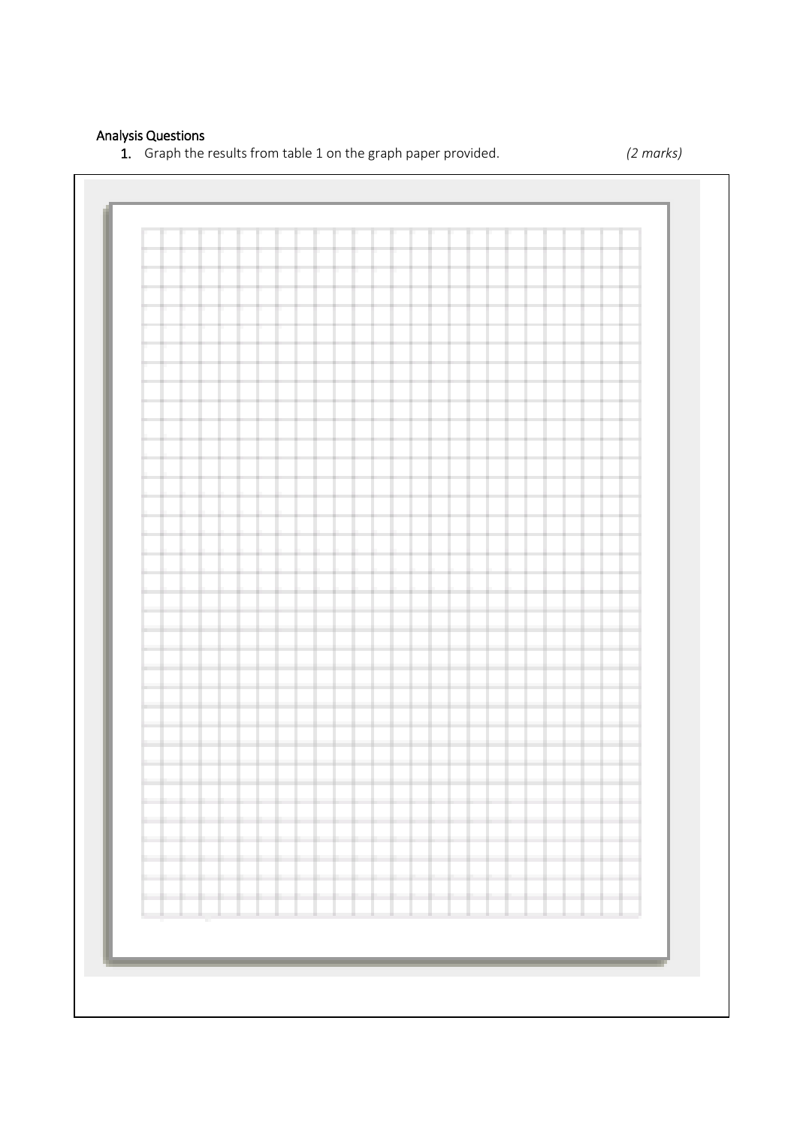# Analysis Questions

1. Graph the results from table 1 on the graph paper provided. *(2 marks)*

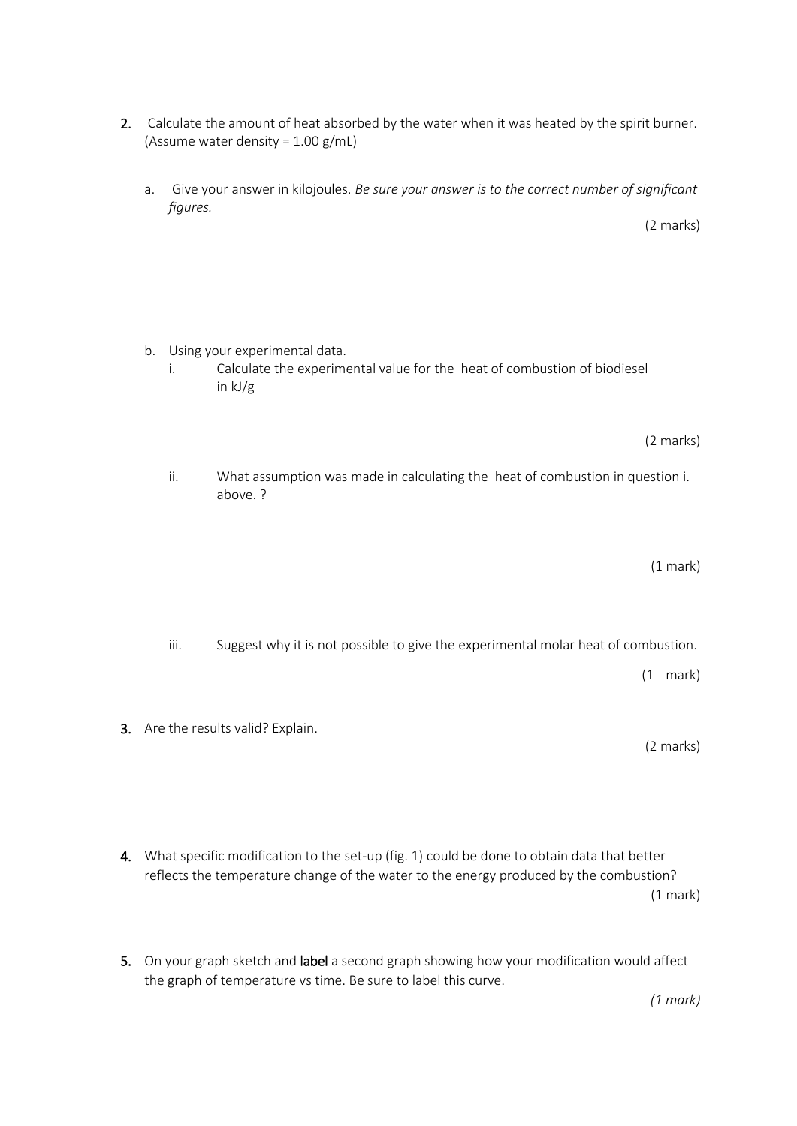- 2. Calculate the amount of heat absorbed by the water when it was heated by the spirit burner. (Assume water density =  $1.00$  g/mL)
	- a. Give your answer in kilojoules. *Be sure your answer is to the correct number of significant figures.*

- b. Using your experimental data.
	- i. Calculate the experimental value for the heat of combustion of biodiesel in kJ/g

(2 marks)

(2 marks)

ii. What assumption was made in calculating the heat of combustion in question i. above. ?

(1 mark)

iii. Suggest why it is not possible to give the experimental molar heat of combustion.

(1 mark)

3. Are the results valid? Explain.

(2 marks)

- 4. What specific modification to the set-up (fig. 1) could be done to obtain data that better reflects the temperature change of the water to the energy produced by the combustion? (1 mark)
- 5. On your graph sketch and label a second graph showing how your modification would affect the graph of temperature vs time. Be sure to label this curve.

*(1 mark)*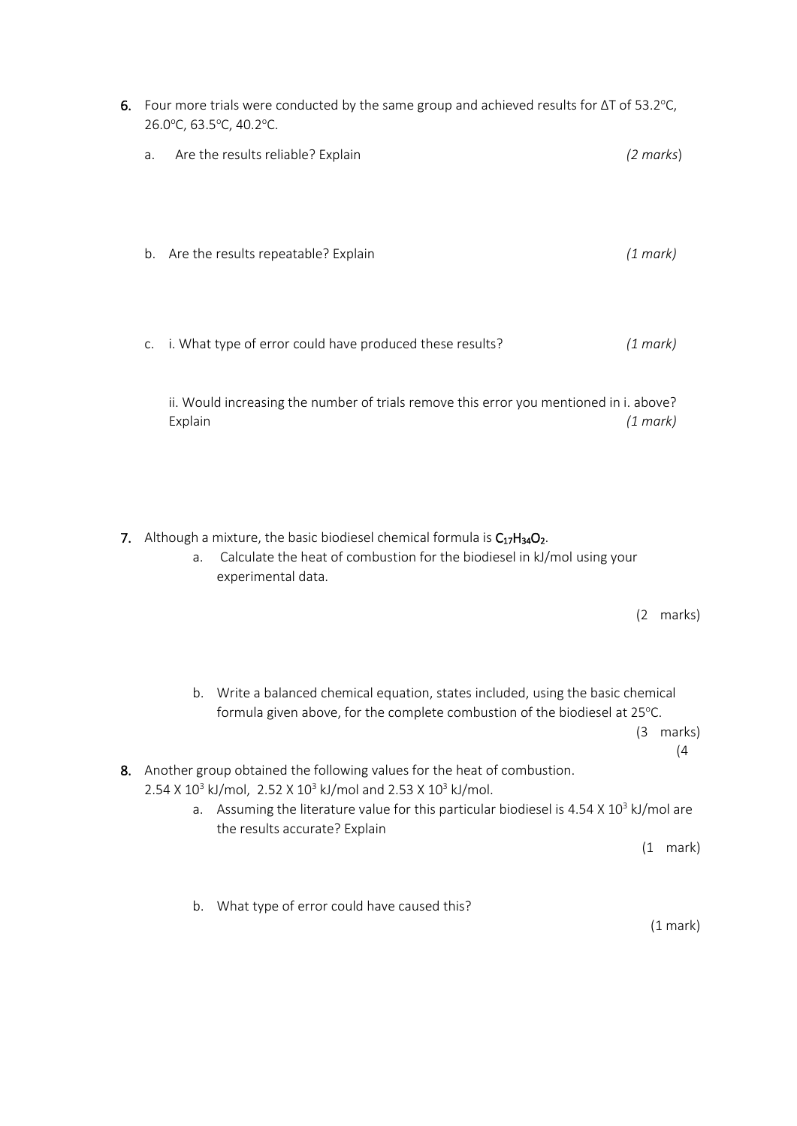|    | 6. Four more trials were conducted by the same group and achieved results for $\Delta T$ of 53.2°C,<br>26.0°C, 63.5°C, 40.2°C.                                                         |                     |       |  |  |  |  |  |
|----|----------------------------------------------------------------------------------------------------------------------------------------------------------------------------------------|---------------------|-------|--|--|--|--|--|
|    | Are the results reliable? Explain<br>a.                                                                                                                                                | $(2 \text{ marks})$ |       |  |  |  |  |  |
|    | b. Are the results repeatable? Explain                                                                                                                                                 | (1 mark)            |       |  |  |  |  |  |
|    | i. What type of error could have produced these results?<br>C.                                                                                                                         | (1 mark)            |       |  |  |  |  |  |
|    | ii. Would increasing the number of trials remove this error you mentioned in i. above?<br>Explain                                                                                      | (1 mark)            |       |  |  |  |  |  |
| 7. | Although a mixture, the basic biodiesel chemical formula is $C_{17}H_{34}O_2$ .<br>Calculate the heat of combustion for the biodiesel in kJ/mol using your<br>a.<br>experimental data. | (2 marks)           |       |  |  |  |  |  |
|    |                                                                                                                                                                                        |                     |       |  |  |  |  |  |
|    | Write a balanced chemical equation, states included, using the basic chemical<br>b.<br>formula given above, for the complete combustion of the biodiesel at 25°C.                      | (3 marks)           | (4)   |  |  |  |  |  |
| 8. | Another group obtained the following values for the heat of combustion.<br>2.54 X 10 <sup>3</sup> kJ/mol, 2.52 X 10 <sup>3</sup> kJ/mol and 2.53 X 10 <sup>3</sup> kJ/mol.             |                     |       |  |  |  |  |  |
|    | Assuming the literature value for this particular biodiesel is 4.54 X 10 <sup>3</sup> kJ/mol are<br>a.<br>the results accurate? Explain                                                |                     |       |  |  |  |  |  |
|    |                                                                                                                                                                                        | (1)                 | mark) |  |  |  |  |  |
|    |                                                                                                                                                                                        |                     |       |  |  |  |  |  |
|    | What type of error could have caused this?<br>b.                                                                                                                                       |                     |       |  |  |  |  |  |

(1 mark)